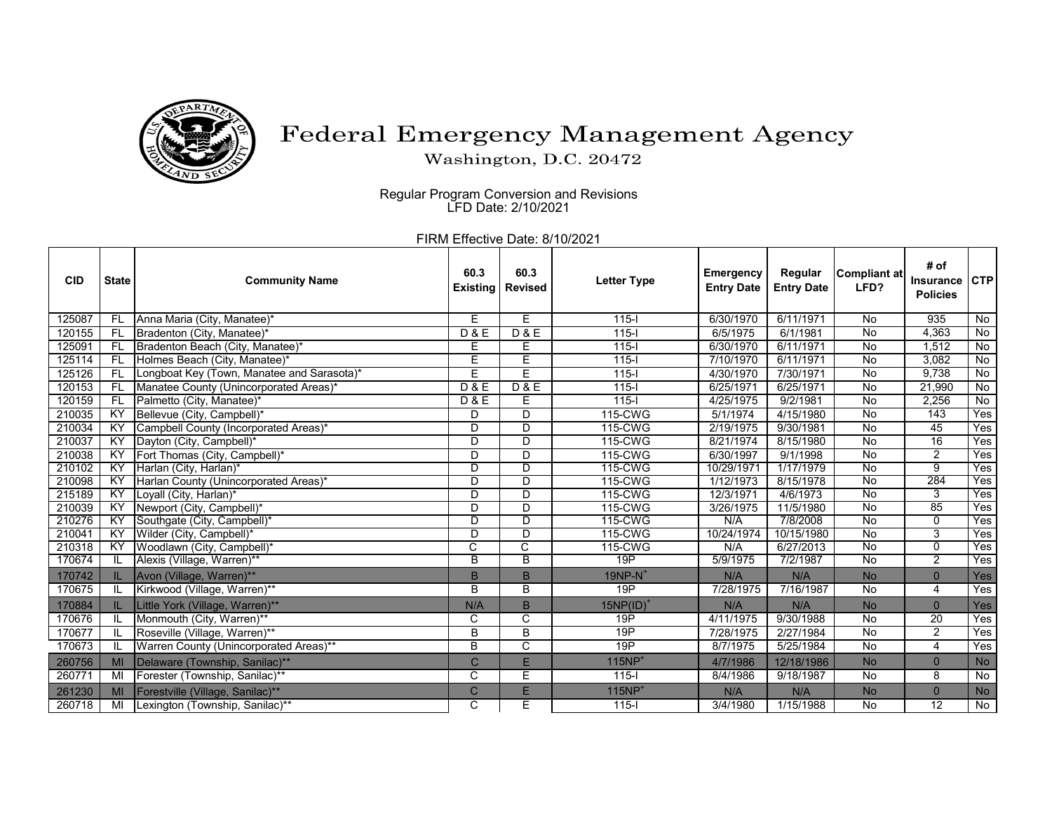

## Federal Emergency Management Agency

Washington, D.C. 20472

Regular Program Conversion and Revisions LFD Date: 2/10/2021

FIRM Effective Date: 8/10/2021

| <b>CID</b> | <b>State</b>    | <b>Community Name</b>                      | 60.3<br><b>Existing</b> | 60.3<br><b>Revised</b> | <b>Letter Type</b>    | <b>Emergency</b><br><b>Entry Date</b> | Regular<br><b>Entry Date</b> | Compliant at<br>LFD? | # of<br>Insurance<br><b>Policies</b> | <b>CTP</b>     |
|------------|-----------------|--------------------------------------------|-------------------------|------------------------|-----------------------|---------------------------------------|------------------------------|----------------------|--------------------------------------|----------------|
| 125087     | FL.             | Anna Maria (City, Manatee)*                | Е                       | E                      | $115 -$               | 6/30/1970                             | 6/11/1971                    | No                   | 935                                  | No             |
| 120155     | FL.             | Bradenton (City, Manatee)*                 | D & E                   | D & E                  | $115 -$               | 6/5/1975                              | 6/1/1981                     | <b>No</b>            | 4,363                                | No             |
| 125091     | <b>FL</b>       | Bradenton Beach (City, Manatee)*           | E                       | E                      | $115 -$               | 6/30/1970                             | 6/11/1971                    | No                   | 1,512                                | No             |
| 125114     | <b>FL</b>       | Holmes Beach (City, Manatee)*              | E                       | E                      | $115 -$               | 7/10/1970                             | 6/11/1971                    | No                   | 3,082                                | No             |
| 125126     | <b>FL</b>       | Longboat Key (Town, Manatee and Sarasota)* | Ε                       | Ē                      | $115 -$               | 4/30/1970                             | 7/30/1971                    | $\overline{N}$       | 9,738                                | No             |
| 120153     | <b>FL</b>       | Manatee County (Unincorporated Areas)*     | D & E                   | D & E                  | $115 -$               | 6/25/1971                             | 6/25/1971                    | $\overline{N}$       | 21,990                               | $\overline{N}$ |
| 120159     | <b>FL</b>       | Palmetto (City, Manatee)*                  | <b>D&amp;E</b>          | E                      | $115 -$               | 4/25/1975                             | 9/2/1981                     | No                   | 2,256                                | No             |
| 210035     | $\overline{KY}$ | Bellevue (City, Campbell)*                 | D                       | D                      | 115-CWG               | 5/1/1974                              | 4/15/1980                    | No                   | 143                                  | Yes            |
| 210034     | KY              | Campbell County (Incorporated Areas)*      | D                       | $\overline{D}$         | 115-CWG               | 2/19/1975                             | 9/30/1981                    | $\overline{N}$       | 45                                   | Yes            |
| 210037     | ΚY              | Dayton (City, Campbell)*                   | D                       | $\overline{D}$         | 115-CWG               | 8/21/1974                             | 8/15/1980                    | $\overline{N}$       | $\overline{16}$                      | Yes            |
| 210038     | ΚY              | Fort Thomas (City, Campbell)*              | D                       | D                      | 115-CWG               | 6/30/1997                             | 9/1/1998                     | $\overline{N}$       | $\overline{2}$                       | Yes            |
| 210102     | ΚY              | Harlan (City, Harlan)*                     | D                       | <u>n</u>               | 115-CWG               | 10/29/1971                            | 1/17/1979                    | $\overline{N}$       | 9                                    | Yes            |
| 210098     | <b>KY</b>       | Harlan County (Unincorporated Areas)*      | D                       | D                      | 115-CWG               | 1/12/1973                             | 8/15/1978                    | $\overline{N}$       | 284                                  | Yes            |
| 215189     | ΚY              | Loyall (City, Harlan)*                     | D                       | $\overline{D}$         | 115-CWG               | 12/3/1971                             | 4/6/1973                     | No                   | 3                                    | Yes            |
| 210039     | <b>KY</b>       | Newport (City, Campbell)*                  | D                       | D                      | 115-CWG               | 3/26/1975                             | 11/5/1980                    | $\overline{N}$       | 85                                   | Yes            |
| 210276     | KY              | Southgate (City, Campbell)*                | D                       | <u>n</u>               | 115-CWG               | N/A                                   | 7/8/2008                     | No                   | $\Omega$                             | Yes            |
| 210041     | ΚY              | Wilder (City, Campbell)*                   | D                       | D                      | 115-CWG               | 10/24/1974                            | 10/15/1980                   | $\overline{N}$       | 3                                    | Yes            |
| 210318     | ΚY              | Woodlawn (City, Campbell)*                 | $\overline{C}$          | C                      | 115-CWG               | N/A                                   | 6/27/2013                    | No                   | 0                                    | Yes            |
| 170674     | IL              | Alexis (Village, Warren)**                 | B                       | B                      | 19P                   | 5/9/1975                              | 7/2/1987                     | No                   | $\overline{2}$                       | Yes            |
| 170742     |                 | Avon (Village, Warren)**                   | B                       | B                      | $19NP-N$ <sup>+</sup> | N/A                                   | N/A                          | <b>No</b>            | $\overline{0}$                       | Yes            |
| 170675     |                 | Kirkwood (Village, Warren)**               | B                       | B                      | 19P                   | 7/28/1975                             | 7/16/1987                    | $\overline{N}$       | 4                                    | Yes            |
| 170884     | IL.             | Little York (Village, Warren)**            | N/A                     | B                      | $15NP(ID)^+$          | N/A                                   | N/A                          | <b>No</b>            | $\mathbf{0}$                         | Yes            |
| 170676     | IL              | Monmouth (City, Warren)**                  | C                       | C                      | 19P                   | 4/11/1975                             | 9/30/1988                    | No                   | $\overline{20}$                      | Yes            |
| 170677     | IL              | Roseville (Village, Warren)**              | В                       | B                      | 19P                   | 7/28/1975                             | 2/27/1984                    | $\overline{N}$       | $\overline{2}$                       | Yes            |
| 170673     |                 | Warren County (Unincorporated Areas)**     | B                       | C                      | 19P                   | 8/7/1975                              | 5/25/1984                    | No                   | 4                                    | Yes            |
| 260756     | MI              | Delaware (Township, Sanilac)**             | C                       | E                      | $115NP+$              | 4/7/1986                              | 12/18/1986                   | <b>No</b>            | $\overline{0}$                       | <b>No</b>      |
| 260771     | MI              | Forester (Township, Sanilac)**             | C                       | Ε                      | $115 -$               | 8/4/1986                              | 9/18/1987                    | $\overline{N}$       | $\overline{8}$                       | $\overline{N}$ |
| 261230     | MI              | Forestville (Village, Sanilac)**           | $\mathsf{C}$            | E                      | $115NP+$              | N/A                                   | N/A                          | <b>No</b>            | $\mathbf{0}$                         | <b>No</b>      |
| 260718     | MI              | Lexington (Township, Sanilac)**            | C                       | Е                      | $115 -$               | 3/4/1980                              | 1/15/1988                    | $\overline{N}$       | $\overline{12}$                      | $\overline{N}$ |